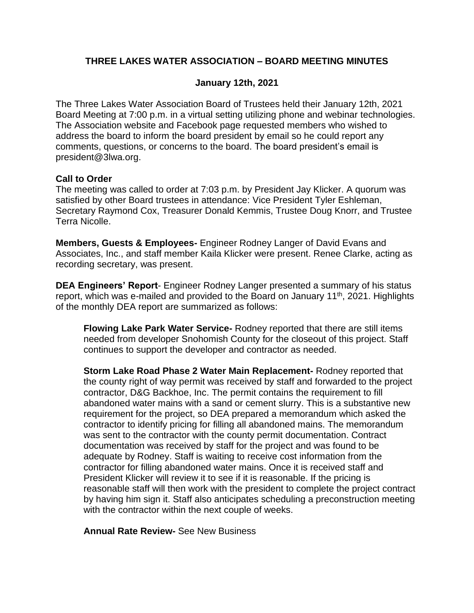## **THREE LAKES WATER ASSOCIATION – BOARD MEETING MINUTES**

### **January 12th, 2021**

The Three Lakes Water Association Board of Trustees held their January 12th, 2021 Board Meeting at 7:00 p.m. in a virtual setting utilizing phone and webinar technologies. The Association website and Facebook page requested members who wished to address the board to inform the board president by email so he could report any comments, questions, or concerns to the board. The board president's email is president@3lwa.org.

### **Call to Order**

The meeting was called to order at 7:03 p.m. by President Jay Klicker. A quorum was satisfied by other Board trustees in attendance: Vice President Tyler Eshleman, Secretary Raymond Cox, Treasurer Donald Kemmis, Trustee Doug Knorr, and Trustee Terra Nicolle.

**Members, Guests & Employees-** Engineer Rodney Langer of David Evans and Associates, Inc., and staff member Kaila Klicker were present. Renee Clarke, acting as recording secretary, was present.

**DEA Engineers' Report**- Engineer Rodney Langer presented a summary of his status report, which was e-mailed and provided to the Board on January 11<sup>th</sup>, 2021. Highlights of the monthly DEA report are summarized as follows:

**Flowing Lake Park Water Service-** Rodney reported that there are still items needed from developer Snohomish County for the closeout of this project. Staff continues to support the developer and contractor as needed.

**Storm Lake Road Phase 2 Water Main Replacement-** Rodney reported that the county right of way permit was received by staff and forwarded to the project contractor, D&G Backhoe, Inc. The permit contains the requirement to fill abandoned water mains with a sand or cement slurry. This is a substantive new requirement for the project, so DEA prepared a memorandum which asked the contractor to identify pricing for filling all abandoned mains. The memorandum was sent to the contractor with the county permit documentation. Contract documentation was received by staff for the project and was found to be adequate by Rodney. Staff is waiting to receive cost information from the contractor for filling abandoned water mains. Once it is received staff and President Klicker will review it to see if it is reasonable. If the pricing is reasonable staff will then work with the president to complete the project contract by having him sign it. Staff also anticipates scheduling a preconstruction meeting with the contractor within the next couple of weeks.

**Annual Rate Review-** See New Business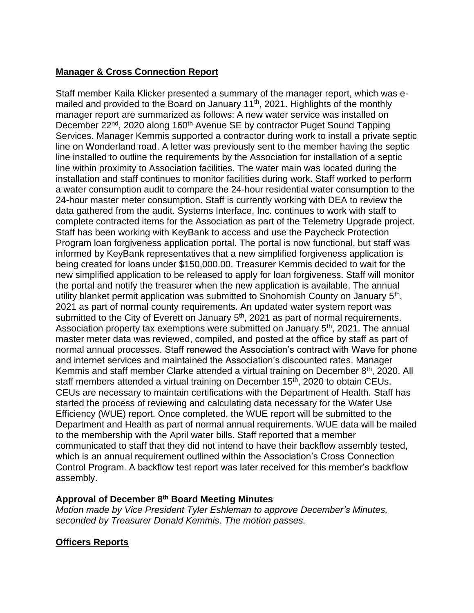# **Manager & Cross Connection Report**

Staff member Kaila Klicker presented a summary of the manager report, which was emailed and provided to the Board on January 11<sup>th</sup>, 2021. Highlights of the monthly manager report are summarized as follows: A new water service was installed on December 22<sup>nd</sup>, 2020 along 160<sup>th</sup> Avenue SE by contractor Puget Sound Tapping Services. Manager Kemmis supported a contractor during work to install a private septic line on Wonderland road. A letter was previously sent to the member having the septic line installed to outline the requirements by the Association for installation of a septic line within proximity to Association facilities. The water main was located during the installation and staff continues to monitor facilities during work. Staff worked to perform a water consumption audit to compare the 24-hour residential water consumption to the 24-hour master meter consumption. Staff is currently working with DEA to review the data gathered from the audit. Systems Interface, Inc. continues to work with staff to complete contracted items for the Association as part of the Telemetry Upgrade project. Staff has been working with KeyBank to access and use the Paycheck Protection Program loan forgiveness application portal. The portal is now functional, but staff was informed by KeyBank representatives that a new simplified forgiveness application is being created for loans under \$150,000.00. Treasurer Kemmis decided to wait for the new simplified application to be released to apply for loan forgiveness. Staff will monitor the portal and notify the treasurer when the new application is available. The annual utility blanket permit application was submitted to Snohomish County on January 5<sup>th</sup>, 2021 as part of normal county requirements. An updated water system report was submitted to the City of Everett on January  $5<sup>th</sup>$ , 2021 as part of normal requirements. Association property tax exemptions were submitted on January 5th, 2021. The annual master meter data was reviewed, compiled, and posted at the office by staff as part of normal annual processes. Staff renewed the Association's contract with Wave for phone and internet services and maintained the Association's discounted rates. Manager Kemmis and staff member Clarke attended a virtual training on December 8<sup>th</sup>, 2020. All staff members attended a virtual training on December 15<sup>th</sup>, 2020 to obtain CEUs. CEUs are necessary to maintain certifications with the Department of Health. Staff has started the process of reviewing and calculating data necessary for the Water Use Efficiency (WUE) report. Once completed, the WUE report will be submitted to the Department and Health as part of normal annual requirements. WUE data will be mailed to the membership with the April water bills. Staff reported that a member communicated to staff that they did not intend to have their backflow assembly tested, which is an annual requirement outlined within the Association's Cross Connection Control Program. A backflow test report was later received for this member's backflow assembly.

### **Approval of December 8 th Board Meeting Minutes**

*Motion made by Vice President Tyler Eshleman to approve December's Minutes, seconded by Treasurer Donald Kemmis. The motion passes.*

## **Officers Reports**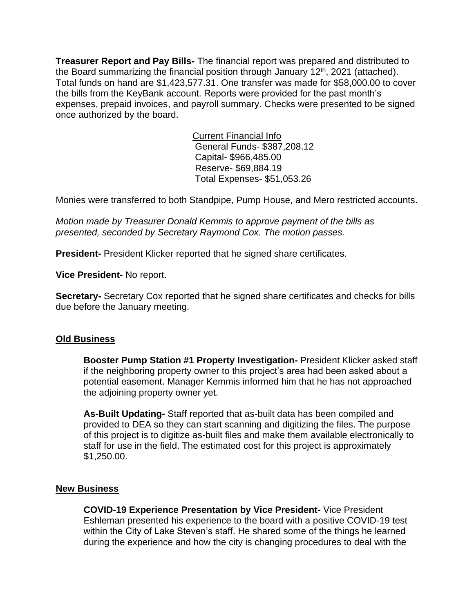**Treasurer Report and Pay Bills-** The financial report was prepared and distributed to the Board summarizing the financial position through January  $12<sup>th</sup>$ , 2021 (attached). Total funds on hand are \$1,423,577.31. One transfer was made for \$58,000.00 to cover the bills from the KeyBank account. Reports were provided for the past month's expenses, prepaid invoices, and payroll summary. Checks were presented to be signed once authorized by the board.

> Current Financial Info General Funds- \$387,208.12 Capital- \$966,485.00 Reserve- \$69,884.19 Total Expenses- \$51,053.26

Monies were transferred to both Standpipe, Pump House, and Mero restricted accounts.

*Motion made by Treasurer Donald Kemmis to approve payment of the bills as presented, seconded by Secretary Raymond Cox. The motion passes.*

**President-** President Klicker reported that he signed share certificates.

**Vice President-** No report.

**Secretary-** Secretary Cox reported that he signed share certificates and checks for bills due before the January meeting.

#### **Old Business**

**Booster Pump Station #1 Property Investigation-** President Klicker asked staff if the neighboring property owner to this project's area had been asked about a potential easement. Manager Kemmis informed him that he has not approached the adjoining property owner yet.

**As-Built Updating-** Staff reported that as-built data has been compiled and provided to DEA so they can start scanning and digitizing the files. The purpose of this project is to digitize as-built files and make them available electronically to staff for use in the field. The estimated cost for this project is approximately \$1,250.00.

### **New Business**

**COVID-19 Experience Presentation by Vice President-** Vice President Eshleman presented his experience to the board with a positive COVID-19 test within the City of Lake Steven's staff. He shared some of the things he learned during the experience and how the city is changing procedures to deal with the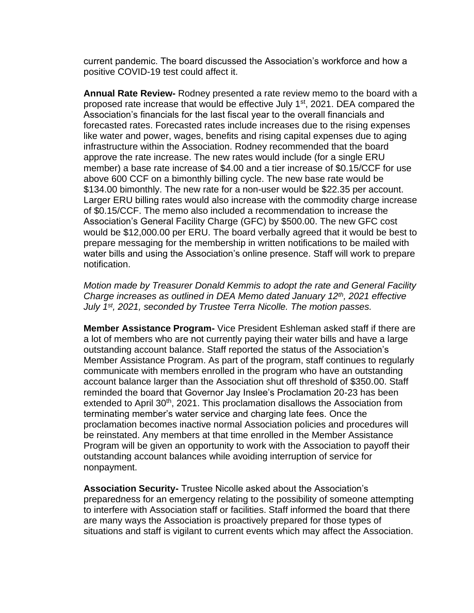current pandemic. The board discussed the Association's workforce and how a positive COVID-19 test could affect it.

**Annual Rate Review-** Rodney presented a rate review memo to the board with a proposed rate increase that would be effective July 1<sup>st</sup>, 2021. DEA compared the Association's financials for the last fiscal year to the overall financials and forecasted rates. Forecasted rates include increases due to the rising expenses like water and power, wages, benefits and rising capital expenses due to aging infrastructure within the Association. Rodney recommended that the board approve the rate increase. The new rates would include (for a single ERU member) a base rate increase of \$4.00 and a tier increase of \$0.15/CCF for use above 600 CCF on a bimonthly billing cycle. The new base rate would be \$134.00 bimonthly. The new rate for a non-user would be \$22.35 per account. Larger ERU billing rates would also increase with the commodity charge increase of \$0.15/CCF. The memo also included a recommendation to increase the Association's General Facility Charge (GFC) by \$500.00. The new GFC cost would be \$12,000.00 per ERU. The board verbally agreed that it would be best to prepare messaging for the membership in written notifications to be mailed with water bills and using the Association's online presence. Staff will work to prepare notification.

*Motion made by Treasurer Donald Kemmis to adopt the rate and General Facility Charge increases as outlined in DEA Memo dated January 12th, 2021 effective July 1st, 2021, seconded by Trustee Terra Nicolle. The motion passes.*

**Member Assistance Program-** Vice President Eshleman asked staff if there are a lot of members who are not currently paying their water bills and have a large outstanding account balance. Staff reported the status of the Association's Member Assistance Program. As part of the program, staff continues to regularly communicate with members enrolled in the program who have an outstanding account balance larger than the Association shut off threshold of \$350.00. Staff reminded the board that Governor Jay Inslee's Proclamation 20-23 has been extended to April 30<sup>th</sup>, 2021. This proclamation disallows the Association from terminating member's water service and charging late fees. Once the proclamation becomes inactive normal Association policies and procedures will be reinstated. Any members at that time enrolled in the Member Assistance Program will be given an opportunity to work with the Association to payoff their outstanding account balances while avoiding interruption of service for nonpayment.

**Association Security-** Trustee Nicolle asked about the Association's preparedness for an emergency relating to the possibility of someone attempting to interfere with Association staff or facilities. Staff informed the board that there are many ways the Association is proactively prepared for those types of situations and staff is vigilant to current events which may affect the Association.